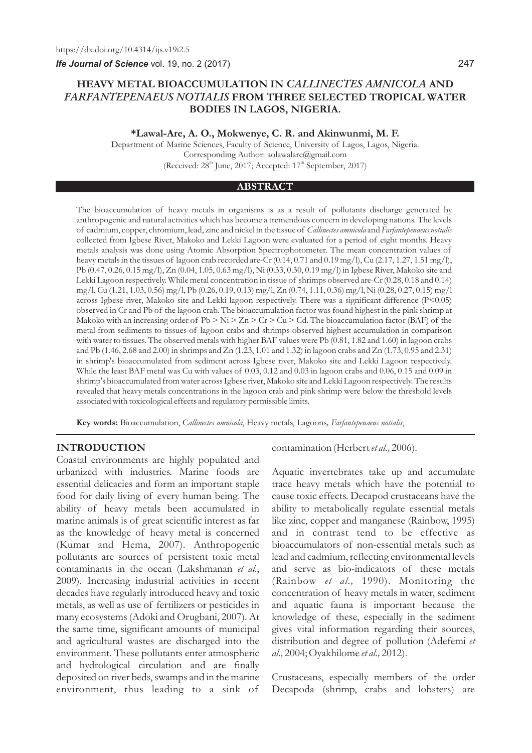*Ife Journal of Science* vol. 19, no. 2 (2017)

# **HEAVY METAL BIOACCUMULATION IN** *CALLINECTES AMNICOLA* **AND**  *FARFANTEPENAEUS NOTIALIS* **FROM THREE SELECTED TROPICAL WATER BODIES IN LAGOS, NIGERIA.**

#### **\*Lawal-Are, A. O., Mokwenye, C. R. and Akinwunmi, M. F.**

Department of Marine Sciences, Faculty of Science, University of Lagos, Lagos, Nigeria. Corresponding Author: aolawalare@gmail.com (Received:  $28<sup>th</sup>$  June, 2017; Accepted:  $17<sup>th</sup>$  September, 2017)

#### **ABSTRACT**

The bioaccumulation of heavy metals in organisms is as a result of pollutants discharge generated by anthropogenic and natural activities which has become a tremendous concern in developing nations. The levels of cadmium, copper, chromium, lead, zinc and nickel in the tissue of *Callinectes amnicola* and *Farfantepenaeus notialis* collected from Igbese River, Makoko and Lekki Lagoon were evaluated for a period of eight months. Heavy metals analysis was done using Atomic Absorption Spectrophotometer. The mean concentration values of heavy metals in the tissues of lagoon crab recorded are-Cr (0.14, 0.71 and 0.19 mg/l), Cu (2.17, 1.27, 1.51 mg/l), Pb (0.47, 0.26, 0.15 mg/l), Zn (0.04, 1.05, 0.63 mg/l), Ni (0.33, 0.30, 0.19 mg/l) in Igbese River, Makoko site and Lekki Lagoon respectively. While metal concentration in tissue of shrimps observed are-Cr (0.28, 0.18 and 0.14) mg/l, Cu (1.21, 1.03, 0.56) mg/l, Pb (0.26, 0.19, 0.13) mg/l, Zn (0.74, 1.11, 0.36) mg/l, Ni (0.28, 0.27, 0.15) mg/l across Igbese river, Makoko site and Lekki lagoon respectively. There was a significant difference (P<0.05) observed in Cr and Pb of the lagoon crab. The bioaccumulation factor was found highest in the pink shrimp at Makoko with an increasing order of  $Pb > Ni > Zn > Cr > Cu > Cd$ . The bioaccumulation factor (BAF) of the metal from sediments to tissues of lagoon crabs and shrimps observed highest accumulation in comparison with water to tissues. The observed metals with higher BAF values were Pb (0.81, 1.82 and 1.60) in lagoon crabs and Pb (1.46, 2.68 and 2.00) in shrimps and Zn (1.23, 1.01 and 1.32) in lagoon crabs and Zn (1.73, 0.95 and 2.31) in shrimp's bioaccumulated from sediment across Igbese river, Makoko site and Lekki Lagoon respectively. While the least BAF metal was Cu with values of 0.03, 0.12 and 0.03 in lagoon crabs and 0.06, 0.15 and 0.09 in shrimp's bioaccumulated from water across Igbese river, Makoko site and Lekki Lagoon respectively. The results revealed that heavy metals concentrations in the lagoon crab and pink shrimp were below the threshold levels associated with toxicological effects and regulatory permissible limits.

**Key words:** Bioaccumulation, C*allinectes amnicola*, Heavy metals, Lagoons*, Farfantepenaeus notialis*,

## **INTRODUCTION**

Coastal environments are highly populated and urbanized with industries. Marine foods are essential delicacies and form an important staple food for daily living of every human being. The ability of heavy metals been accumulated in marine animals is of great scientific interest as far as the knowledge of heavy metal is concerned (Kumar and Hema, 2007). Anthropogenic pollutants are sources of persistent toxic metal contaminants in the ocean (Lakshmanan *et al*., 2009). Increasing industrial activities in recent decades have regularly introduced heavy and toxic metals, as well as use of fertilizers or pesticides in many ecosystems (Adoki and Orugbani, 2007). At the same time, significant amounts of municipal and agricultural wastes are discharged into the environment. These pollutants enter atmospheric and hydrological circulation and are finally deposited on river beds, swamps and in the marine environment, thus leading to a sink of

contamination (Herbert *et al.,* 2006).

Aquatic invertebrates take up and accumulate trace heavy metals which have the potential to cause toxic effects. Decapod crustaceans have the ability to metabolically regulate essential metals like zinc, copper and manganese (Rainbow, 1995) and in contrast tend to be effective as bioaccumulators of non-essential metals such as lead and cadmium, reflecting environmental levels and serve as bio-indicators of these metals (Rainbow *et al.,* 1990). Monitoring the concentration of heavy metals in water, sediment and aquatic fauna is important because the knowledge of these, especially in the sediment gives vital information regarding their sources, distribution and degree of pollution (Adefemi *et al.,* 2004; Oyakhilome *et al.,* 2012).

Crustaceans, especially members of the order Decapoda (shrimp, crabs and lobsters) are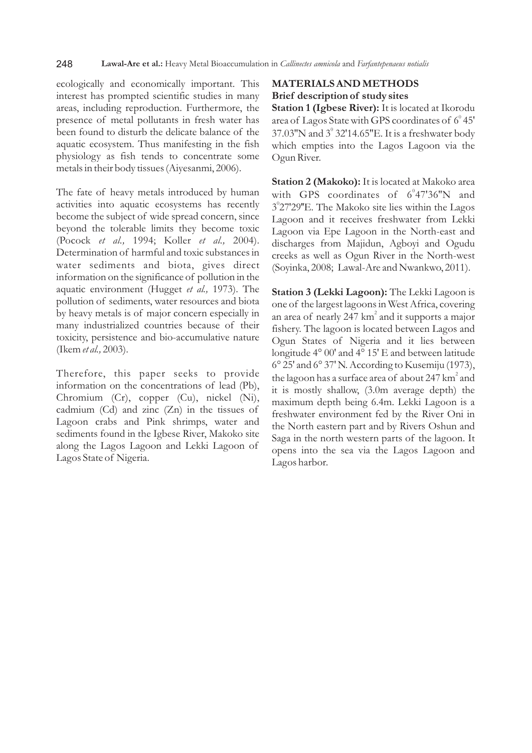ecologically and economically important. This interest has prompted scientific studies in many areas, including reproduction. Furthermore, the presence of metal pollutants in fresh water has been found to disturb the delicate balance of the aquatic ecosystem. Thus manifesting in the fish physiology as fish tends to concentrate some metals in their body tissues (Aiyesanmi, 2006).

The fate of heavy metals introduced by human activities into aquatic ecosystems has recently become the subject of wide spread concern, since beyond the tolerable limits they become toxic (Pocock *et al.,* 1994; Koller *et al.,* 2004). Determination of harmful and toxic substances in water sediments and biota, gives direct information on the significance of pollution in the aquatic environment (Hugget *et al.,* 1973). The pollution of sediments, water resources and biota by heavy metals is of major concern especially in many industrialized countries because of their toxicity, persistence and bio-accumulative nature (Ikem *et al.,* 2003).

Therefore, this paper seeks to provide information on the concentrations of lead (Pb), Chromium (Cr), copper (Cu), nickel (Ni), cadmium (Cd) and zinc (Zn) in the tissues of Lagoon crabs and Pink shrimps, water and sediments found in the Igbese River, Makoko site along the Lagos Lagoon and Lekki Lagoon of Lagos State of Nigeria.

# **MATERIALS AND METHODS Brief description of study sites**

**Station 1 (Igbese River):** It is located at Ikorodu area of Lagos State with GPS coordinates of  $6^{\circ}$  45' 37.03"N and  $3^{\circ}$  32'14.65"E. It is a freshwater body which empties into the Lagos Lagoon via the Ogun River.

**Station 2 (Makoko):** It is located at Makoko area with GPS coordinates of  $6^{\circ}47'36''N$  and 3°27'29"E. The Makoko site lies within the Lagos Lagoon and it receives freshwater from Lekki Lagoon via Epe Lagoon in the North-east and discharges from Majidun, Agboyi and Ogudu creeks as well as Ogun River in the North-west (Soyinka, 2008; Lawal-Are and Nwankwo, 2011).

**Station 3 (Lekki Lagoon):** The Lekki Lagoon is one of the largest lagoons in West Africa, covering an area of nearly 247 km<sup>2</sup> and it supports a major fishery. The lagoon is located between Lagos and Ogun States of Nigeria and it lies between longitude 4° 00' and 4° 15' E and between latitude 6° 25' and 6° 37' N. According to Kusemiju (1973), the lagoon has a surface area of about 247 km<sup>2</sup> and it is mostly shallow, (3.0m average depth) the maximum depth being 6.4m. Lekki Lagoon is a freshwater environment fed by the River Oni in the North eastern part and by Rivers Oshun and Saga in the north western parts of the lagoon. It opens into the sea via the Lagos Lagoon and Lagos harbor.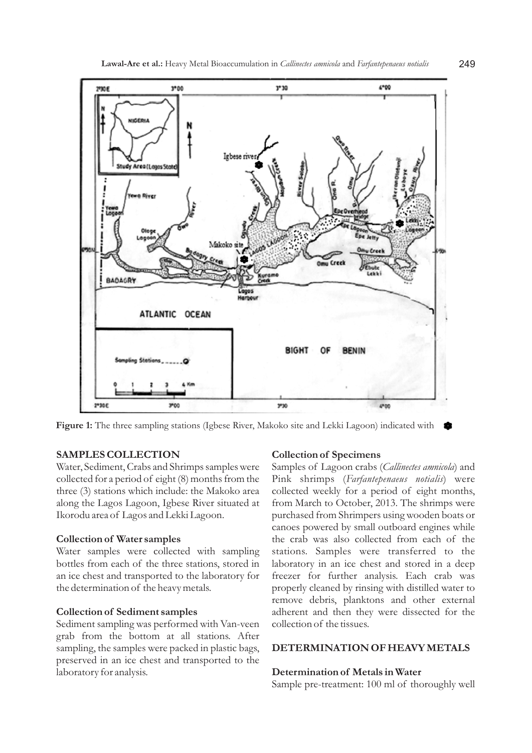

**Figure 1:** The three sampling stations (Igbese River, Makoko site and Lekki Lagoon) indicated with

# **SAMPLES COLLECTION**

Water, Sediment, Crabs and Shrimps samples were collected for a period of eight (8) months from the three (3) stations which include: the Makoko area along the Lagos Lagoon, Igbese River situated at Ikorodu area of Lagos and Lekki Lagoon.

### **Collection of Water samples**

Water samples were collected with sampling bottles from each of the three stations, stored in an ice chest and transported to the laboratory for the determination of the heavy metals.

## **Collection of Sediment samples**

Sediment sampling was performed with Van-veen grab from the bottom at all stations. After sampling, the samples were packed in plastic bags, preserved in an ice chest and transported to the laboratory for analysis.

### **Collection of Specimens**

Samples of Lagoon crabs (*Callinectes amnicola*) and Pink shrimps (*Farfantepenaeus notialis*) were collected weekly for a period of eight months, from March to October, 2013. The shrimps were purchased from Shrimpers using wooden boats or canoes powered by small outboard engines while the crab was also collected from each of the stations. Samples were transferred to the laboratory in an ice chest and stored in a deep freezer for further analysis. Each crab was properly cleaned by rinsing with distilled water to remove debris, planktons and other external adherent and then they were dissected for the collection of the tissues.

### **DETERMINATION OF HEAVY METALS**

# **Determination of Metals in Water**

Sample pre-treatment: 100 ml of thoroughly well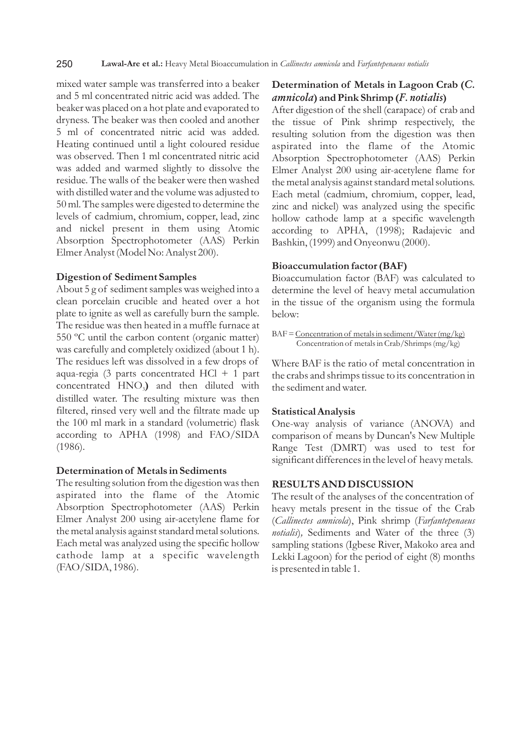mixed water sample was transferred into a beaker and 5 ml concentrated nitric acid was added. The beaker was placed on a hot plate and evaporated to dryness. The beaker was then cooled and another 5 ml of concentrated nitric acid was added. Heating continued until a light coloured residue was observed. Then 1 ml concentrated nitric acid was added and warmed slightly to dissolve the residue. The walls of the beaker were then washed with distilled water and the volume was adjusted to 50 ml. The samples were digested to determine the levels of cadmium, chromium, copper, lead, zinc and nickel present in them using Atomic Absorption Spectrophotometer (AAS) Perkin Elmer Analyst (Model No: Analyst 200).

#### **Digestion of Sediment Samples**

About 5 g of sediment samples was weighed into a clean porcelain crucible and heated over a hot plate to ignite as well as carefully burn the sample. The residue was then heated in a muffle furnace at 550 ºC until the carbon content (organic matter) was carefully and completely oxidized (about 1 h). The residues left was dissolved in a few drops of aqua-regia (3 parts concentrated HCl + 1 part concentrated HNO<sub>3</sub>) and then diluted with distilled water. The resulting mixture was then filtered, rinsed very well and the filtrate made up the 100 ml mark in a standard (volumetric) flask according to APHA (1998) and FAO/SIDA (1986).

## **Determination of Metals in Sediments**

The resulting solution from the digestion was then aspirated into the flame of the Atomic Absorption Spectrophotometer (AAS) Perkin Elmer Analyst 200 using air-acetylene flame for the metal analysis against standard metal solutions. Each metal was analyzed using the specific hollow cathode lamp at a specific wavelength (FAO/SIDA, 1986).

# **Determination of Metals in Lagoon Crab (***C. amnicola***) and Pink Shrimp (***F. notialis***)**

After digestion of the shell (carapace) of crab and the tissue of Pink shrimp respectively, the resulting solution from the digestion was then aspirated into the flame of the Atomic Absorption Spectrophotometer (AAS) Perkin Elmer Analyst 200 using air-acetylene flame for the metal analysis against standard metal solutions. Each metal (cadmium, chromium, copper, lead, zinc and nickel) was analyzed using the specific hollow cathode lamp at a specific wavelength according to APHA, (1998); Radajevic and Bashkin, (1999) and Onyeonwu (2000).

### **Bioaccumulation factor (BAF)**

Bioaccumulation factor (BAF) was calculated to determine the level of heavy metal accumulation in the tissue of the organism using the formula below:

BAF = Concentration of metals in sediment/Water (mg/kg) Concentration of metals in Crab/Shrimps (mg/kg)

Where BAF is the ratio of metal concentration in the crabs and shrimps tissue to its concentration in the sediment and water.

#### **Statistical Analysis**

One-way analysis of variance (ANOVA) and comparison of means by Duncan's New Multiple Range Test (DMRT) was used to test for significant differences in the level of heavy metals.

# **RESULTS AND DISCUSSION**

The result of the analyses of the concentration of heavy metals present in the tissue of the Crab (*Callinectes amnicola*), Pink shrimp (*Farfantepenaeus notialis*)*,* Sediments and Water of the three (3) sampling stations (Igbese River, Makoko area and Lekki Lagoon) for the period of eight (8) months is presented in table 1.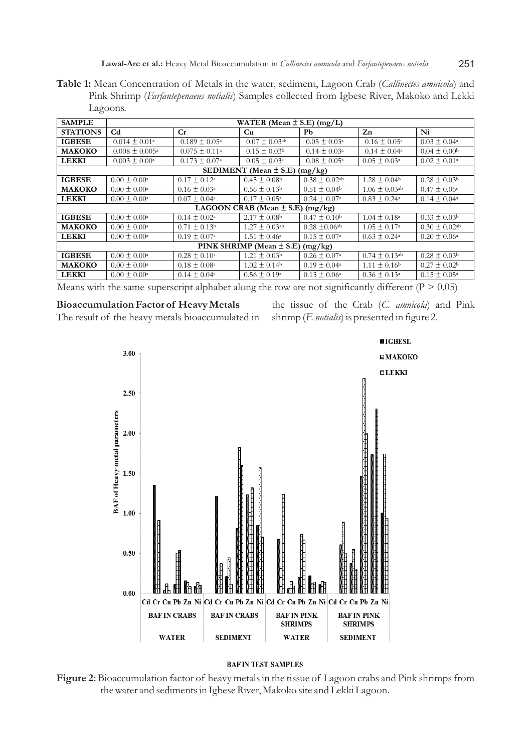**Table 1:** Mean Concentration of Metals in the water, sediment, Lagoon Crab (*Callinectes amnicola*) and Pink Shrimp (*Farfantepenaeus notialis*) Samples collected from Igbese River, Makoko and Lekki Lagoons.

| <b>SAMPLE</b>                           | WATER (Mean $\pm$ S.E) (mg/L) |                            |                               |                               |                               |                               |
|-----------------------------------------|-------------------------------|----------------------------|-------------------------------|-------------------------------|-------------------------------|-------------------------------|
| <b>STATIONS</b>                         | C <sub>d</sub>                | Cr                         | Cu                            | Pb                            | Zn                            | Ni                            |
| <b>IGBESE</b>                           | $0.014 \pm 0.01$ <sup>a</sup> | $0.189 \pm 0.05^{\circ}$   | $0.07 \pm 0.03$ <sup>ab</sup> | $0.05 \pm 0.03^{\circ}$       | $0.16 \pm 0.05^{\circ}$       | $0.03 \pm 0.04^{\circ}$       |
| МАКОКО                                  | $0.008 \pm 0.005^{\circ}$     | $0.075 \pm 0.11^{\circ}$   | $0.15 \pm 0.03^{\circ}$       | $0.14 \pm 0.03^{\circ}$       | $0.14 \pm 0.04^{\circ}$       | $0.04 \pm 0.00b$              |
| <b>LEKKI</b>                            | $0.003 \pm 0.00^{\circ}$      | $0.173 \pm 0.07^{\circ}$   | $0.05 \pm 0.03^{\circ}$       | $0.08 \pm 0.05^{\circ}$       | $0.05 \pm 0.03^{\circ}$       | $0.02 \pm 0.01^{\circ}$       |
| (mg/kg)<br>SEDIMENT (Mean ± S.E)        |                               |                            |                               |                               |                               |                               |
| <b>IGBESE</b>                           | $0.00 \pm 0.00^{\circ}$       | $0.17 \pm 0.12^{\text{a}}$ | $0.45 \pm 0.08$               | $0.38 \pm 0.02$ <sup>ab</sup> | $1.28 \pm 0.04$ <sup>b</sup>  | $0.28 \pm 0.03^{\rm b}$       |
| МАКОКО                                  | $0.00 \pm 0.00^{\circ}$       | $0.16 \pm 0.03^{\circ}$    | $0.56 \pm 0.13^{\circ}$       | $0.51 \pm 0.04^{\rm b}$       | $1.06 \pm 0.03$ <sup>ab</sup> | $0.47 \pm 0.05$ <sup>c</sup>  |
| <b>LEKKI</b>                            | $0.00 \pm 0.00^{\circ}$       | $0.07 \pm 0.04^{\circ}$    | $0.17 \pm 0.05^{\circ}$       | $0.24 \pm 0.07^{\circ}$       | $0.83 \pm 0.24$ <sup>a</sup>  | $0.14 \pm 0.04^{\circ}$       |
| LAGOON CRAB (Mean $\pm$ S.E)<br>(mg/kg) |                               |                            |                               |                               |                               |                               |
| <b>IGBESE</b>                           | $0.00 \pm 0.00^{\circ}$       | $0.14 \pm 0.02^{\text{a}}$ | $2.17 \pm 0.08$ <sup>b</sup>  | $0.47 \pm 0.10^{\rm b}$       | $1.04 \pm 0.18^{\circ}$       | $0.33 \pm 0.03^{\rm b}$       |
| МАКОКО                                  | $0.00 \pm 0.00^{\circ}$       | $0.71 \pm 0.13^{\rm b}$    | $1.27 \pm 0.03$ <sup>ab</sup> | $0.28 \pm 0.06$ <sup>ab</sup> | $1.05 \pm 0.17^{\circ}$       | $0.30 \pm 0.02$ <sup>ab</sup> |
| <b>LEKKI</b>                            | $0.00 \pm 0.00^{\circ}$       | $0.19 \pm 0.07^{\circ}$    | $1.51 \pm 0.46^{\circ}$       | $0.15 \pm 0.07^{\circ}$       | $0.63 \pm 0.24^{\circ}$       | $0.20 \pm 0.06^{\circ}$       |
| PINK SHRIMP (Mean $\pm$ S.E)<br>(mg/kg) |                               |                            |                               |                               |                               |                               |
| <b>IGBESE</b>                           | $0.00 \pm 0.00^{\circ}$       | $0.28 \pm 0.10^{\circ}$    | $1.21 \pm 0.03^{\rm b}$       | $0.26 \pm 0.07^{\circ}$       | $0.74 \pm 0.13$ <sup>ab</sup> | $0.28 \pm 0.03^{\rm b}$       |
| МАКОКО                                  | $0.00 \pm 0.00^{\circ}$       | $0.18 \pm 0.08^{\circ}$    | $1.02 \pm 0.14$ <sup>b</sup>  | $0.19 \pm 0.04^{\circ}$       | $1.11 \pm 0.16$ <sup>b</sup>  | $0.27 \pm 0.02^{\rm b}$       |
| <b>LEKKI</b>                            | $0.00 \pm 0.00^{\circ}$       | $0.14 \pm 0.04^{\circ}$    | $0.56 \pm 0.19^{\circ}$       | $0.13 \pm 0.06^{\circ}$       | $0.36 \pm 0.13^{\circ}$       | $0.15 \pm 0.05^{\circ}$       |

Means with the same superscript alphabet along the row are not significantly different ( $P > 0.05$ )

#### **Bioaccumulation Factor of Heavy Metals**

The result of the heavy metals bioaccumulated in

the tissue of the Crab (*C. amnicola*) and Pink shrimp (*F. notialis*) is presented in figure 2.



# **BAFIN TEST SAMPLES**

**Figure 2:** Bioaccumulation factor of heavy metals in the tissue of Lagoon crabs and Pink shrimps from the water and sediments in Igbese River, Makoko site and Lekki Lagoon.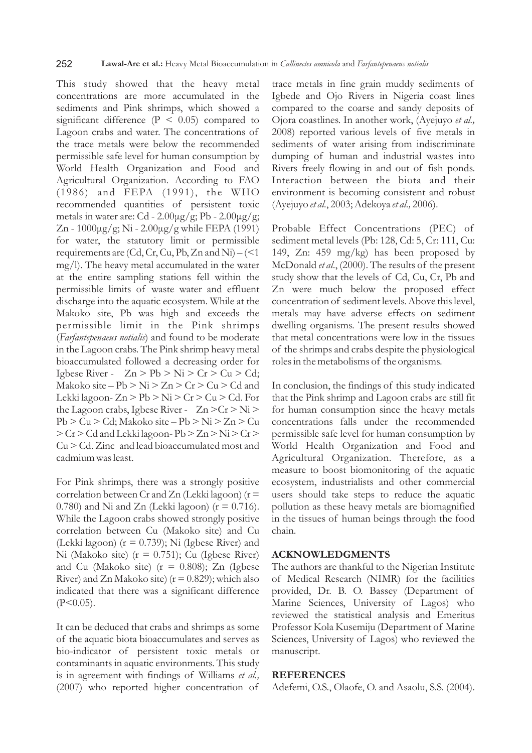#### 252 **Lawal-Are et al.:** Heavy Metal Bioaccumulation in *Callinectes amnicola* and *Farfantepenaeus notialis*

This study showed that the heavy metal concentrations are more accumulated in the sediments and Pink shrimps, which showed a significant difference  $(P < 0.05)$  compared to Lagoon crabs and water. The concentrations of the trace metals were below the recommended permissible safe level for human consumption by World Health Organization and Food and Agricultural Organization. According to FAO (1986) and FEPA (1991), the WHO recommended quantities of persistent toxic metals in water are: Cd -  $2.00\mu$ g/g; Pb -  $2.00\mu$ g/g; Zn - 1000μg/g; Ni - 2.00μg/g while FEPA (1991) for water, the statutory limit or permissible requirements are (Cd, Cr, Cu, Pb, Zn and Ni) –  $(< 1$ mg/l). The heavy metal accumulated in the water at the entire sampling stations fell within the permissible limits of waste water and effluent discharge into the aquatic ecosystem. While at the Makoko site, Pb was high and exceeds the permissible limit in the Pink shrimps (*Farfantepenaeus notialis*) and found to be moderate in the Lagoon crabs. The Pink shrimp heavy metal bioaccumulated followed a decreasing order for Igbese River -  $Zn > Pb > Ni > Cr > Cu > Cd;$ Makoko site – Pb  $> Ni$   $> Zn$   $> Cr$   $> Cu$   $> Cd$  and Lekki lagoon-  $Zn > Pb > Ni > Cr > Cu > Cd$ . For the Lagoon crabs, Igbese River -  $Zn > Cr > Ni$ Pb > Cu > Cd; Makoko site – Pb > Ni > Zn > Cu > Cr > Cd and Lekki lagoon- Pb > Zn > Ni > Cr > Cu > Cd. Zinc and lead bioaccumulated most and cadmium was least.

For Pink shrimps, there was a strongly positive correlation between Cr and Zn (Lekki lagoon) ( $r =$ 0.780) and Ni and Zn (Lekki lagoon) ( $r = 0.716$ ). While the Lagoon crabs showed strongly positive correlation between Cu (Makoko site) and Cu (Lekki lagoon) ( $r = 0.739$ ); Ni (Igbese River) and Ni (Makoko site) ( $r = 0.751$ ); Cu (Igbese River) and Cu (Makoko site) ( $r = 0.808$ ); Zn (Igbese River) and Zn Makoko site) ( $r = 0.829$ ); which also indicated that there was a significant difference  $(P<0.05)$ .

It can be deduced that crabs and shrimps as some of the aquatic biota bioaccumulates and serves as bio-indicator of persistent toxic metals or contaminants in aquatic environments. This study is in agreement with findings of Williams *et al.,*  (2007) who reported higher concentration of trace metals in fine grain muddy sediments of Igbede and Ojo Rivers in Nigeria coast lines compared to the coarse and sandy deposits of Ojora coastlines. In another work, (Ayejuyo *et al.,*  2008) reported various levels of five metals in sediments of water arising from indiscriminate dumping of human and industrial wastes into Rivers freely flowing in and out of fish ponds. Interaction between the biota and their environment is becoming consistent and robust (Ayejuyo *et al.*, 2003; Adekoya *et al.,* 2006).

Probable Effect Concentrations (PEC) of sediment metal levels (Pb: 128, Cd: 5, Cr: 111, Cu: 149, Zn: 459 mg/kg) has been proposed by McDonald *et al*., (2000). The results of the present study show that the levels of Cd, Cu, Cr, Pb and Zn were much below the proposed effect concentration of sediment levels. Above this level, metals may have adverse effects on sediment dwelling organisms. The present results showed that metal concentrations were low in the tissues of the shrimps and crabs despite the physiological roles in the metabolisms of the organisms.

In conclusion, the findings of this study indicated that the Pink shrimp and Lagoon crabs are still fit for human consumption since the heavy metals concentrations falls under the recommended permissible safe level for human consumption by World Health Organization and Food and Agricultural Organization. Therefore, as a measure to boost biomonitoring of the aquatic ecosystem, industrialists and other commercial users should take steps to reduce the aquatic pollution as these heavy metals are biomagnified in the tissues of human beings through the food chain.

#### **ACKNOWLEDGMENTS**

The authors are thankful to the Nigerian Institute of Medical Research (NIMR) for the facilities provided, Dr. B. O. Bassey (Department of Marine Sciences, University of Lagos) who reviewed the statistical analysis and Emeritus Professor Kola Kusemiju (Department of Marine Sciences, University of Lagos) who reviewed the manuscript.

#### **REFERENCES**

Adefemi, O.S., Olaofe, O. and Asaolu, S.S. (2004).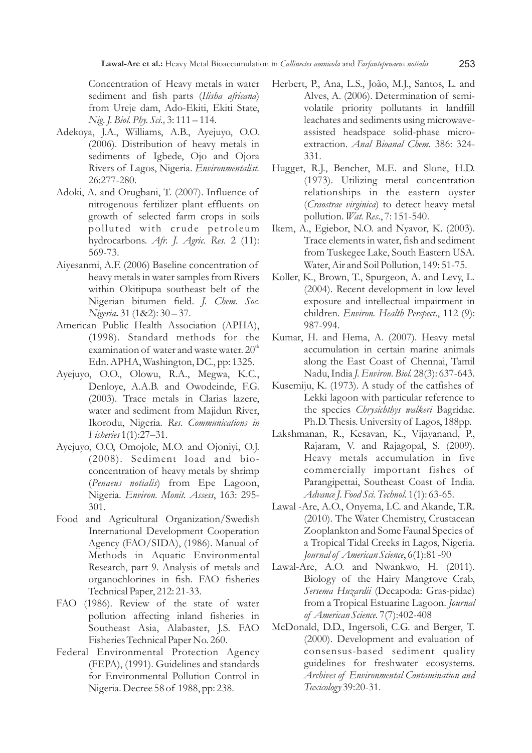Concentration of Heavy metals in water sediment and fish parts (*Ilisha africana*) from Ureje dam, Ado-Ekiti, Ekiti State, *Nig.J. Biol. Phy. Sci.,* 3: 111 – 114.

- Adekoya, J.A., Williams, A.B., Ayejuyo, O.O. (2006). Distribution of heavy metals in sediments of Igbede, Ojo and Ojora Rivers of Lagos, Nigeria. *Environmentalist.*  26:277-280.
- Adoki, A. and Orugbani, T. (2007). Influence of nitrogenous fertilizer plant effluents on growth of selected farm crops in soils polluted with crude petroleum hydrocarbons. *Afr. J. Agric. Res*. 2 (11): 569-73.
- Aiyesanmi, A.F. (2006) Baseline concentration of heavy metals in water samples from Rivers within Okitipupa southeast belt of the Nigerian bitumen field. *J. Chem. Soc. Nigeria***.** 31 (1&2): 30 – 37.
- American Public Health Association (APHA), (1998). Standard methods for the examination of water and waste water.  $20<sup>th</sup>$ Edn. APHA, Washington, DC., pp: 1325.
- Ayejuyo, O.O., Olowu, R.A., Megwa, K.C., Denloye, A.A.B. and Owodeinde, F.G. (2003). Trace metals in Clarias lazere, water and sediment from Majidun River, Ikorodu, Nigeria. *Res. Communications in Fisheries* 1(1):27–31.
- Ayejuyo, O.O, Omojole, M.O. and Ojoniyi, O.J. (2008). Sediment load and bioconcentration of heavy metals by shrimp (*Penaeus notialis*) from Epe Lagoon, Nigeria. *Environ. Monit. Assess*, 163: 295- 301.
- Food and Agricultural Organization/Swedish International Development Cooperation Agency (FAO/SIDA), (1986). Manual of Methods in Aquatic Environmental Research, part 9. Analysis of metals and organochlorines in fish. FAO fisheries Technical Paper, 212: 21-33.
- FAO (1986). Review of the state of water pollution affecting inland fisheries in Southeast Asia, Alabaster, J.S. FAO Fisheries Technical Paper No. 260.
- Federal Environmental Protection Agency (FEPA), (1991). Guidelines and standards for Environmental Pollution Control in Nigeria. Decree 58 of 1988, pp: 238.
- Herbert, P., Ana, L.S., João, M.J., Santos, L. and Alves, A. (2006). Determination of semivolatile priority pollutants in landfill leachates and sediments using microwaveassisted headspace solid-phase microextraction. *Anal Bioanal Chem.* 386: 324- 331.
- Hugget, R.J., Bencher, M.E. and Slone, H.D. (1973). Utilizing metal concentration relationships in the eastern oyster (*Craostrae virginica*) to detect heavy metal pollution. *Wat. Res*., 7: 151-540.
- Ikem, A., Egiebor, N.O. and Nyavor, K. (2003). Trace elements in water, fish and sediment from Tuskegee Lake, South Eastern USA. Water, Air and Soil Pollution, 149: 51-75.
- Koller, K., Brown, T., Spurgeon, A. and Levy, L. (2004). Recent development in low level exposure and intellectual impairment in children. *Environ. Health Perspect*., 112 (9): 987-994.
- Kumar, H. and Hema, A. (2007). Heavy metal accumulation in certain marine animals along the East Coast of Chennai, Tamil Nadu, India *J. Environ. Biol.* 28(3): 637-643.
- Kusemiju, K. (1973). A study of the catfishes of Lekki lagoon with particular reference to the species *Chrysichthys walkeri* Bagridae. Ph.D. Thesis. University of Lagos, 188pp.
- Lakshmanan, R., Kesavan, K., Vijayanand, P., Rajaram, V. and Rajagopal, S. (2009). Heavy metals accumulation in five commercially important fishes of Parangipettai, Southeast Coast of India. *Advance J. Food Sci. Technol.* 1(1): 63-65.
- Lawal -Are, A.O., Onyema, I.C. and Akande, T.R. (2010). The Water Chemistry, Crustacean Zooplankton and Some Faunal Species of a Tropical Tidal Creeks in Lagos, Nigeria. *Journal of American Science*, 6(1):81 -90
- Lawal-Are, A.O. and Nwankwo, H. (2011). Biology of the Hairy Mangrove Crab, *Sersema Huzardii* (Decapoda: Gras-pidae) from a Tropical Estuarine Lagoon. *Journal of American Science.* 7(7):402-408
- McDonald, D.D., Ingersoli, C.G. and Berger, T. (2000). Development and evaluation of consensus-based sediment quality guidelines for freshwater ecosystems. *Archives of Environmental Contamination and Toxicology* 39:20-31.